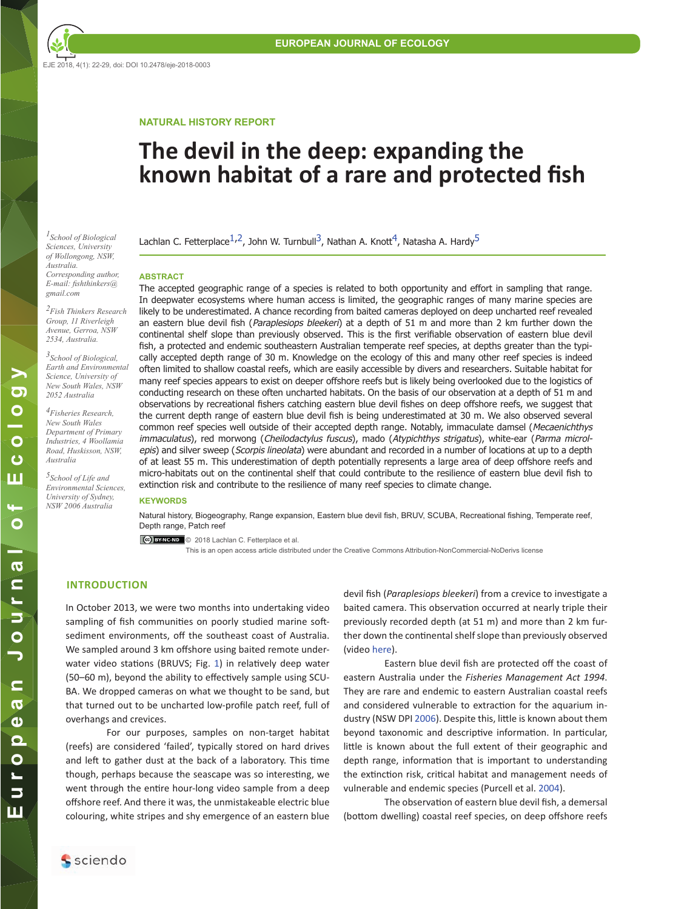EJE 2018, 4(1): 22-29, doi: DOI 10.2478/eje-2018-0003

## **NATURAL HISTORY REPORT**

## **The devil in the deep: expanding the known habitat of a rare and protected fish**

<span id="page-0-0"></span> $L_{Stool}$  *of Biological* **Lachlan C. Fetterplace**<sup>[1,](#page-0-0)[2](#page-0-1)</sup>, John W. Turnbull<sup>3</sup>, Nathan A. Knott<sup>[4](#page-0-2)</sup>, Natasha A. Hardy<sup>[5](#page-0-2)</sup>

#### **ABSTRACT**

*Sciences, University of Wollongong, NSW, Australia. Corresponding author, E-mail: fishthinkers@ gmail.com*

<span id="page-0-2"></span><span id="page-0-1"></span>*<sup>2</sup>Fish Thinkers Research Group, 11 Riverleigh Avenue, Gerroa, NSW 2534, Australia. 3School of Biological, Earth and Environmental Science, University of New South Wales, NSW 2052 Australia <sup>4</sup>Fisheries Research, New South Wales Department of Primary Industries, 4 Woollamia Road, Huskisson, NSW,* 

*Australia*

*5School of Life and Environmental Sciences, University of Sydney, NSW 2006 Australia*

The accepted geographic range of a species is related to both opportunity and effort in sampling that range. In deepwater ecosystems where human access is limited, the geographic ranges of many marine species are likely to be underestimated. A chance recording from baited cameras deployed on deep uncharted reef revealed an eastern blue devil fish (*Paraplesiops bleekeri*) at a depth of 51 m and more than 2 km further down the continental shelf slope than previously observed. This is the first verifiable observation of eastern blue devil fish, a protected and endemic southeastern Australian temperate reef species, at depths greater than the typically accepted depth range of 30 m. Knowledge on the ecology of this and many other reef species is indeed often limited to shallow coastal reefs, which are easily accessible by divers and researchers. Suitable habitat for many reef species appears to exist on deeper offshore reefs but is likely being overlooked due to the logistics of conducting research on these often uncharted habitats. On the basis of our observation at a depth of 51 m and observations by recreational fishers catching eastern blue devil fishes on deep offshore reefs, we suggest that the current depth range of eastern blue devil fish is being underestimated at 30 m. We also observed several common reef species well outside of their accepted depth range. Notably, immaculate damsel (Mecaenichthys immaculatus), red morwong (Cheilodactylus fuscus), mado (Atypichthys strigatus), white-ear (Parma microlepis) and silver sweep (Scorpis lineolata) were abundant and recorded in a number of locations at up to a depth of at least 55 m. This underestimation of depth potentially represents a large area of deep offshore reefs and micro-habitats out on the continental shelf that could contribute to the resilience of eastern blue devil fish to extinction risk and contribute to the resilience of many reef species to climate change.

#### **KEYWORDS**

Natural history, Biogeography, Range expansion, Eastern blue devil fish, BRUV, SCUBA, Recreational fishing, Temperate reef, Depth range, Patch reef

Cc) BYNC-ND © 2018 Lachlan C. Fetterplace et al.

This is an open access article distributed under the Creative Commons Attribution-NonCommercial-NoDerivs license

## **INTRODUCTION**

In October 2013, we were two months into undertaking video sampling of fish communities on poorly studied marine softsediment environments, off the southeast coast of Australia. We sampled around 3 km offshore using baited remote underwater video stations (BRUVS; Fig. [1](#page-1-0)) in relatively deep water (50–60 m), beyond the ability to effectively sample using SCU-BA. We dropped cameras on what we thought to be sand, but that turned out to be uncharted low-profile patch reef, full of overhangs and crevices.

For our purposes, samples on non-target habitat (reefs) are considered 'failed', typically stored on hard drives and left to gather dust at the back of a laboratory. This time though, perhaps because the seascape was so interesting, we went through the entire hour-long video sample from a deep offshore reef. And there it was, the unmistakeable electric blue colouring, white stripes and shy emergence of an eastern blue

devil fish (*Paraplesiops bleekeri*) from a crevice to investigate a baited camera. This observation occurred at nearly triple their previously recorded depth (at 51 m) and more than 2 km further down the continental shelf slope than previously observed (video [here](https://vimeo.com/159162118)).

Eastern blue devil fish are protected off the coast of eastern Australia under the *Fisheries Management Act 1994*. They are rare and endemic to eastern Australian coastal reefs and considered vulnerable to extraction for the aquarium industry (NSW DPI [2006](#page-7-0)). Despite this, little is known about them beyond taxonomic and descriptive information. In particular, little is known about the full extent of their geographic and depth range, information that is important to understanding the extinction risk, critical habitat and management needs of vulnerable and endemic species (Purcell et al. 2004).

The observation of eastern blue devil fish, a demersal (bottom dwelling) coastal reef species, on deep offshore reefs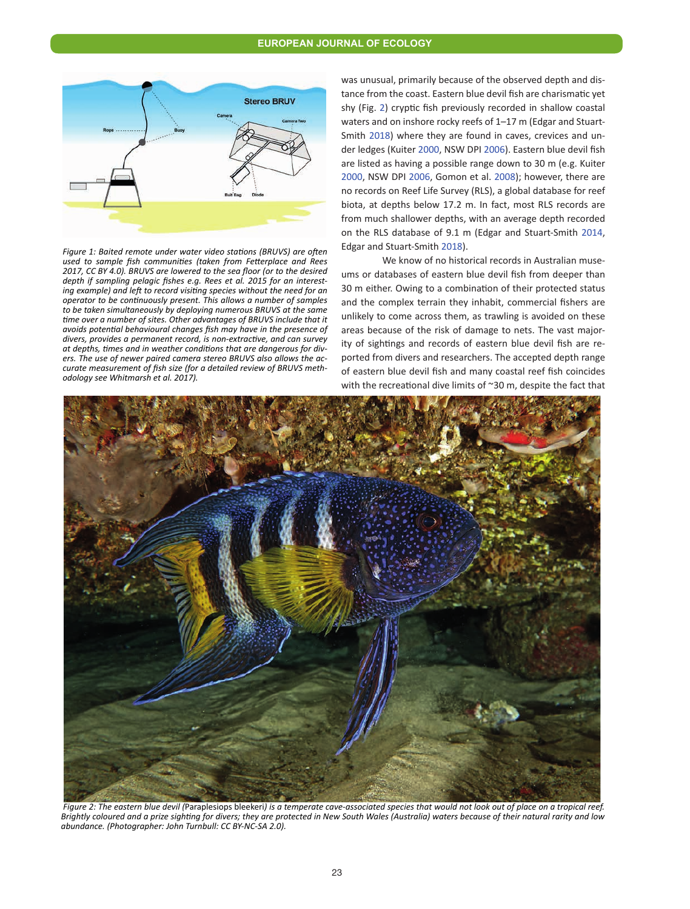<span id="page-1-0"></span>

*Figure 1: Baited remote under water video stations (BRUVS) are often used to sample fish communities (taken from Fetterplace and Rees 2017, CC BY 4.0). BRUVS are lowered to the sea floor (or to the desired depth if sampling pelagic fishes e.g. Rees et al. 2015 for an interesting example) and left to record visiting species without the need for an operator to be continuously present. This allows a number of samples to be taken simultaneously by deploying numerous BRUVS at the same time over a number of sites. Other advantages of BRUVS include that it avoids potential behavioural changes fish may have in the presence of divers, provides a permanent record, is non-extractive, and can survey at depths, times and in weather conditions that are dangerous for divers. The use of newer paired camera stereo BRUVS also allows the accurate measurement of fish size (for a detailed review of BRUVS methodology see Whitmarsh et al. 2017).*

was unusual, primarily because of the observed depth and distance from the coast. Eastern blue devil fish are charismatic yet shy (Fig. [2](#page-1-1)) cryptic fish previously recorded in shallow coastal waters and on inshore rocky reefs of 1–17 m (Edgar and Stuart-Smith [2018](#page-7-1)) where they are found in caves, crevices and under ledges (Kuiter [2000](#page-7-2), NSW DPI [2006\)](#page-7-0). Eastern blue devil fish are listed as having a possible range down to 30 m (e.g. Kuiter [2000](#page-7-2), NSW DPI [2006](#page-7-0), Gomon et al. [2008](#page-7-3)); however, there are no records on Reef Life Survey (RLS), a global database for reef biota, at depths below 17.2 m. In fact, most RLS records are from much shallower depths, with an average depth recorded on the RLS database of 9.1 m (Edgar and Stuart-Smith [2014](#page-7-1), Edgar and Stuart-Smith [2018](#page-7-1)).

We know of no historical records in Australian museums or databases of eastern blue devil fish from deeper than 30 m either. Owing to a combination of their protected status and the complex terrain they inhabit, commercial fishers are unlikely to come across them, as trawling is avoided on these areas because of the risk of damage to nets. The vast majority of sightings and records of eastern blue devil fish are reported from divers and researchers. The accepted depth range of eastern blue devil fish and many coastal reef fish coincides with the recreational dive limits of ~30 m, despite the fact that

<span id="page-1-1"></span>

 *Figure 2: The eastern blue devil (*Paraplesiops bleekeri*) is a temperate cave-associated species that would not look out of place on a tropical reef. Brightly coloured and a prize sighting for divers; they are protected in New South Wales (Australia) waters because of their natural rarity and low abundance. (Photographer: John Turnbull: CC BY-NC-SA 2.0).*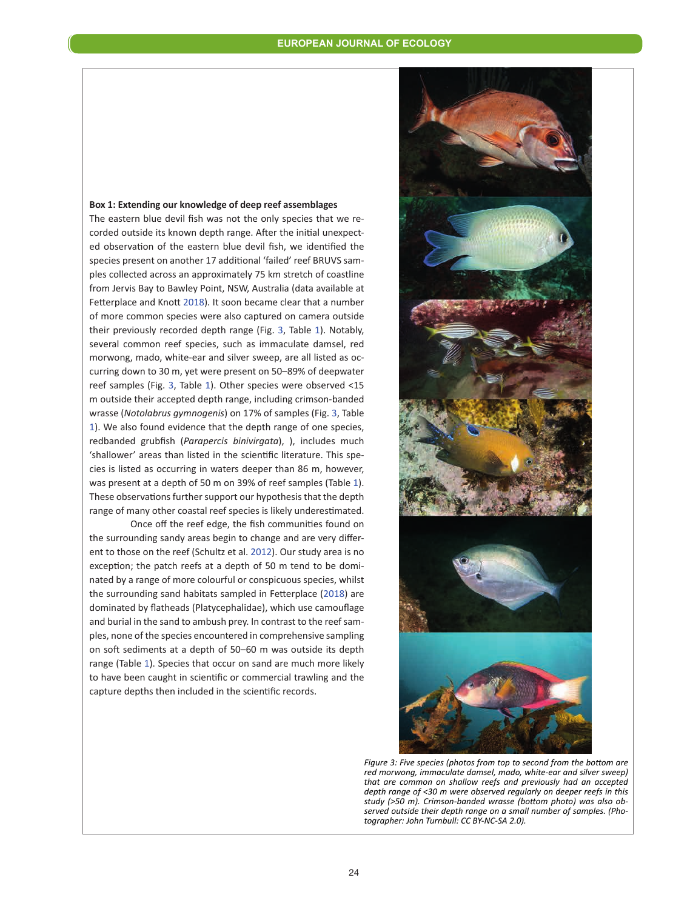## <span id="page-2-1"></span>**Box 1: Extending our knowledge of deep reef assemblages**

The eastern blue devil fish was not the only species that we recorded outside its known depth range. After the initial unexpected observation of the eastern blue devil fish, we identified the species present on another 17 additional 'failed' reef BRUVS samples collected across an approximately 75 km stretch of coastline from Jervis Bay to Bawley Point, NSW, Australia (data available at Fetterplace and Knott [2018](#page-7-2)). It soon became clear that a number of more common species were also captured on camera outside their previously recorded depth range (Fig. [3](#page-2-0), Table 1). Notably, several common reef species, such as immaculate damsel, red morwong, mado, white-ear and silver sweep, are all listed as occurring down to 30 m, yet were present on 50–89% of deepwater reef samples (Fig. [3](#page-2-0), Table [1](#page-3-0)). Other species were observed <15 m outside their accepted depth range, including crimson-banded wrasse (*Notolabrus gymnogenis*) on 17% of samples (Fig. [3](#page-2-0), Table [1](#page-3-0)). We also found evidence that the depth range of one species, redbanded grubfish (*Parapercis binivirgata*), ), includes much 'shallower' areas than listed in the scientific literature. This species is listed as occurring in waters deeper than 86 m, however, was present at a depth of 50 m on 39% of reef samples (Table [1](#page-3-0)). These observations further support our hypothesis that the depth range of many other coastal reef species is likely underestimated.

Once off the reef edge, the fish communities found on the surrounding sandy areas begin to change and are very different to those on the reef (Schultz et al. [2012](#page-7-4)). Our study area is no exception; the patch reefs at a depth of 50 m tend to be dominated by a range of more colourful or conspicuous species, whilst the surrounding sand habitats sampled in Fetterplace ([2018](#page-7-2)) are dominated by flatheads (Platycephalidae), which use camouflage and burial in the sand to ambush prey. In contrast to the reef samples, none of the species encountered in comprehensive sampling on soft sediments at a depth of 50–60 m was outside its depth range (Table [1](#page-3-0)). Species that occur on sand are much more likely to have been caught in scientific or commercial trawling and the capture depths then included in the scientific records.

<span id="page-2-0"></span>

*Figure 3: Five species (photos from top to second from the bottom are red morwong, immaculate damsel, mado, white-ear and silver sweep) that are common on shallow reefs and previously had an accepted depth range of <30 m were observed regularly on deeper reefs in this study (>50 m). Crimson-banded wrasse (bottom photo) was also observed outside their depth range on a small number of samples. (Photographer: John Turnbull: CC BY-NC-SA 2.0).*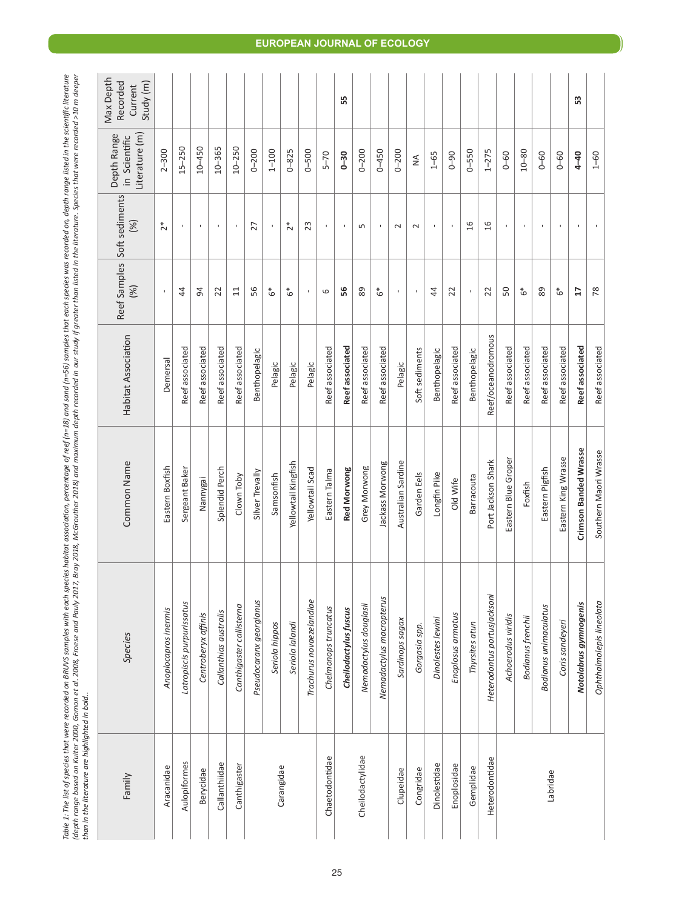<span id="page-3-0"></span>

| ure<br>$\frac{1}{2}$                                                                                                                               | oner<br>֧֪֦֧֦֧֧֦֧֧֧֧֦֧֧֦֧֧֦֧֧֧֧֧֧֧֧֝֓֓֓֝֓֓֝֓֓֝֬֓֓֓֓֓֓֓֝֓֝֬֝֓֓֝֬֟֓֓֝֓֓֝֓֝֓֓֝֓֝֬֓֝֬֝֓֝֬֝֓֝֬<br>֧֪֪֪֪֪֪֪֪֪֪֪֪֪֧֧֪֦֧֧֧֧֧֧֝֝֘֝֝֝֬֘֝֓֞֟֓<br>5 |                                                                                                 |
|----------------------------------------------------------------------------------------------------------------------------------------------------|-----------------------------------------------------------------------------------------------------------------------------------------|-------------------------------------------------------------------------------------------------|
| $\frac{1}{2}$                                                                                                                                      | Ş                                                                                                                                       |                                                                                                 |
|                                                                                                                                                    | てくい                                                                                                                                     |                                                                                                 |
| n in th.                                                                                                                                           |                                                                                                                                         |                                                                                                 |
|                                                                                                                                                    |                                                                                                                                         |                                                                                                 |
| vn. depth range liste                                                                                                                              | ני מיוויז<br>١<br>ׇ֚֬֕                                                                                                                  |                                                                                                 |
| c<br>C<br>i<br>į                                                                                                                                   |                                                                                                                                         |                                                                                                 |
| ì<br>.<br>.<br>.                                                                                                                                   |                                                                                                                                         |                                                                                                 |
| j                                                                                                                                                  |                                                                                                                                         |                                                                                                 |
| こくもくら                                                                                                                                              | <b>CANCAS</b><br>j<br>i                                                                                                                 |                                                                                                 |
| $-2$<br>S                                                                                                                                          | ₹<br>$\ddot{ }$<br>Ï                                                                                                                    |                                                                                                 |
| Council                                                                                                                                            |                                                                                                                                         |                                                                                                 |
|                                                                                                                                                    |                                                                                                                                         |                                                                                                 |
|                                                                                                                                                    |                                                                                                                                         |                                                                                                 |
| $r$ $p$ $ef$ $(n=18)$<br>֪֦֪֦֪֦֧֦֦֧֪֪֪֪֦֪֦֧֪֦֧֧֧֧֦֧֦֪֪֦֪֪֦֪֦֧֦֧֪֪֪֦֧֦֧֪֪֪֪֪֪֪֦֧֦֧֚֚֡֝֬֝֬֝֓֝֬֝֓֝֬֟֓֝֓֟֓֝֓֝֬֝֬֝֬֝֬֝<br>֧֪֧֪֪֪֪֪֪֪֪֪֪֪֪֪֪֪֪֪֪֪֪֪֪֚֝֝֟ |                                                                                                                                         |                                                                                                 |
| 5<br>i                                                                                                                                             | a AcCrouther 2018) and mavimum denth records                                                                                            |                                                                                                 |
| š<br><b>.</b><br>אי<br>ć<br>֚֚֚֡֝                                                                                                                  | ֧֧֧֧֧֧֧֧֧֦֧ׅ֧֧ׅ֧֧֧֧֧֧֧֧֧֛֧֛֛֧֧֛֧֛֛֛֛֛֛֛֛֛֛֚֚֚֚֚֚֚֚֚֚֚֚֚֚֚֚֚֚֚֚֚֚֚֚֚֚֚֝֝֝֝֓֝֬֝֓֝֓֝֬֜֓֝֬֜֝֬֝֬֝֬֝֬֝֬֜֜֜֜<br>֧֧֧֧֧֧֛֛֛֛֚֚֚֚֝֘֩֜֜֜           |                                                                                                 |
| i                                                                                                                                                  |                                                                                                                                         |                                                                                                 |
| ż                                                                                                                                                  | j                                                                                                                                       |                                                                                                 |
| ì<br>č<br>:<br>גע                                                                                                                                  | $B$ rmu<br>j<br>ľ                                                                                                                       |                                                                                                 |
| j<br>1<br>anc.                                                                                                                                     | ì<br>í<br>ī<br>j                                                                                                                        |                                                                                                 |
|                                                                                                                                                    | 3<br>j                                                                                                                                  |                                                                                                 |
| i<br>ξ                                                                                                                                             | j<br>֖֖֖֖֚֚֚֚֚֚֬<br>אים ביינ                                                                                                            |                                                                                                 |
| õ<br>ā                                                                                                                                             | ֧֦֟֓֓֬׆<br>֧֪֪֦֦֦֦֦֦֦֦֦֦֦֦֦֚֚֚֟֓֬֟֓֓֞֓֬֟֓֟֓֬֝֓֞                                                                                         |                                                                                                 |
| i                                                                                                                                                  | i<br>S<br>S<br>֖֖֖֖֖֚֚֚֚֚֚֚֚֬<br>ĺ                                                                                                      | ì<br>ֺ֦֦֦֧֧֧֧֧֛֛֧֪֧֪֧֪֧֚֚֚֚֝֝֝֝֬֝֓֝֬֝֓֝֓֕֓֕֓֬֝֓֝֬֝֓֝֬֝֓֝֬֝֓֝֓֝֓֝֬֝֓֝֓֝֓֝֓֝֓֬֝֓֝֬֝֓֝֬֝֓֝֬֝֓<br>i |
|                                                                                                                                                    | ⊂<br>⊇<br>֖֖֖֖֚֚֚֚֚֚֬                                                                                                                   |                                                                                                 |
| $-16.4 + 14$                                                                                                                                       | l Adanı<br>֡֜֜֕                                                                                                                         | ļ                                                                                               |
| Ż<br>ì<br>j                                                                                                                                        | į<br>i                                                                                                                                  | ה ווייחויות וויח הויח ה                                                                         |
| $\frac{1}{2}$                                                                                                                                      | י האור איש האי                                                                                                                          |                                                                                                 |
| l<br>J<br>ŕ.                                                                                                                                       | J<br>ī<br>ţ                                                                                                                             | ----                                                                                            |

| Species                      | Common Name           | Habitat Association | (%)             | Reef Samples Soft sediments<br>(%) | Literature (m)<br>Depth Range<br>in Scientific | Max Depth<br>Recorded<br>Study (m)<br>Current |
|------------------------------|-----------------------|---------------------|-----------------|------------------------------------|------------------------------------------------|-----------------------------------------------|
| Anoplocapros inermis         | Eastern Boxfish       | Demersal            | $\mathbf{I}$    | $\tilde{c}^*$                      | $2 - 300$                                      |                                               |
| Latropiscis purpurissatus    | Sergeant Baker        | Reef associated     | 4               | $\mathbf{I}$                       | $15 - 250$                                     |                                               |
| Centroberyx affinis          | Nannygai              | Reef associated     | $\overline{5}$  | $\mathbf{I}$                       | $10 - 450$                                     |                                               |
| Callanthias australis        | Splendid Perch        | Reef associated     | 22              |                                    | $10 - 365$                                     |                                               |
| Canthigaster callisterna     | Clown Toby            | Reef associated     | 11              |                                    | $10 - 250$                                     |                                               |
| Pseudocaranx georgianus      | Silver Trevally       | Benthopelagic       | 56              | 27                                 | $0 - 200$                                      |                                               |
| Seriola hippos               | Samsonfish            | Pelagic             | ه*              | $\mathbf{I}$                       | $1 - 100$                                      |                                               |
| Seriola lalandi              | Yellowtail Kingfish   | Pelagic             | ه*              | $\tilde{c}^*$                      | $0 - 825$                                      |                                               |
| Trachurus novaezelandiae     | Yellowtail Scad       | Pelagic             | $\,$            | 23                                 | $0 - 500$                                      |                                               |
| Chelmonops truncatus         | Eastern Talma         | Reef associated     | 6               | $\mathbf{I}$                       | $5 - 70$                                       |                                               |
| Cheilodactylus fuscus        | Red Morwong           | Reef associated     | 56              | J.                                 | $0 - 30$                                       | 55                                            |
| Nemadactylus douglasii       | Grey Morwong          | Reef associated     | 89              | S                                  | $0 - 200$                                      |                                               |
| Nemadactylus macropterus     | lackass Morwong       | Reef associated     | ُه*             |                                    | $0 - 450$                                      |                                               |
| Sardinops sagax              | Australian Sardine    | Pelagic             | $\mathbf{I}$    | $\sim$                             | $0 - 200$                                      |                                               |
| Gorgasia spp.                | Garden Eels           | Soft sediments      |                 | $\sim$                             | ≸                                              |                                               |
| Dinolestes lewini            | Longfin Pike          | Benthopelagic       | 44              | $\blacksquare$                     | $1 - 65$                                       |                                               |
| Enoplosus armatus            | Old Wife              | Reef associated     | 22              | $\mathbf{I}$                       | $0 - 90$                                       |                                               |
| Thyrsites atun               | Barracouta            | Benthopelagic       |                 | 16                                 | $0 - 550$                                      |                                               |
| Heterodontus portusjacksoni  | Port Jackson Shark    | Reef/oceanodromous  | 22              | $\frac{6}{2}$                      | $1 - 275$                                      |                                               |
| Achoerodus viridis           | Eastern Blue Groper   | Reef associated     | 50              |                                    | $0 - 60$                                       |                                               |
| Bodianus frenchii            | Foxfish               | Reef associated     | ه*              |                                    | $10 - 80$                                      |                                               |
| <b>Bodianus unimaculatus</b> | Eastern Pigfish       | Reef associated     | 89              | $\mathbf{I}$                       | $0 - 60$                                       |                                               |
| Coris sandeyeri              | Eastern King Wrasse   | Reef associated     | ه*              |                                    | $0 - 60$                                       |                                               |
| Notolabrus gymnogenis        | Crimson Banded Wrasse | Reef associated     | $\overline{17}$ | $\blacksquare$                     | $4 - 40$                                       | 53                                            |
| Ophthalmolepis lineolata     | Southern Maori Wrasse | Reef associated     | 78              |                                    | $1 - 60$                                       |                                               |
|                              |                       |                     |                 |                                    |                                                |                                               |

## **EUROPEAN JOURNAL OF ECOLOGY EUROPEAN JOURNAL OF ECOLOGY**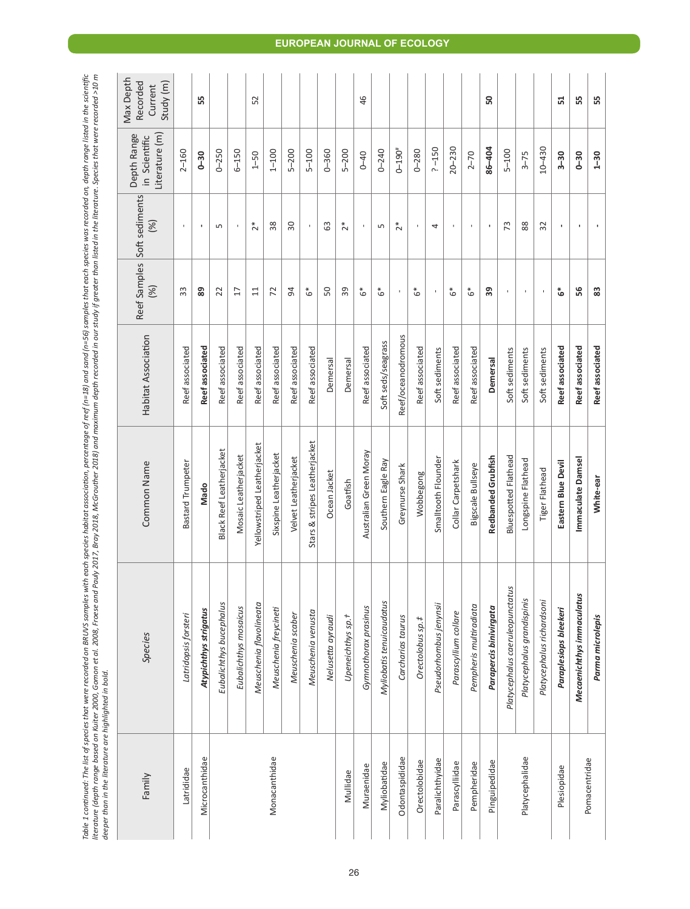| Table 1 continued: The list of species that were recorded on BRU'S samples with each species hot sceies of eef<br>Ilterature (depth range based on Kuiter 2000, Gomore tol. 2008, Froese and Pauly 2012, Brow Browther 2013, McC<br><br>deeper than in the literature are highlighted in bold. |                               |                     |                     |                       |                                                |                                               |
|------------------------------------------------------------------------------------------------------------------------------------------------------------------------------------------------------------------------------------------------------------------------------------------------|-------------------------------|---------------------|---------------------|-----------------------|------------------------------------------------|-----------------------------------------------|
| Species                                                                                                                                                                                                                                                                                        | Common Name                   | Habitat Association | Reef Samples<br>(%) | Soft sediments<br>(%) | literature (m)<br>Depth Range<br>in Scientific | Max Depth<br>Recorded<br>Study (m)<br>Current |
| Latridopsis forsteri                                                                                                                                                                                                                                                                           | <b>Bastard Trumpeter</b>      | Reef associated     | 33                  | $\mathbf{I}$          | $2 - 160$                                      |                                               |
| Atypichthys strigatus                                                                                                                                                                                                                                                                          | Mado                          | Reef associated     | 89                  | $\blacksquare$        | $0 - 30$                                       | 55                                            |
| Eubalichthys bucephalus                                                                                                                                                                                                                                                                        | Black Reef Leatherjacket      | Reef associated     | 22                  | S                     | $0 - 250$                                      |                                               |
| Eubalichthys mosaicus                                                                                                                                                                                                                                                                          | Mosaic Leatherjacket          | Reef associated     | $\overline{17}$     | $\mathbf{I}$          | $6 - 150$                                      |                                               |
| Meuschenia flavolineata                                                                                                                                                                                                                                                                        | Yellowstriped Leatherjacket   | Reef associated     | 11                  | $2*$                  | $1 - 50$                                       | 52                                            |
| Meuschenia freycineti                                                                                                                                                                                                                                                                          | Sixspine Leatherjacket        | Reef associated     | 72                  | 38                    | $1 - 100$                                      |                                               |
| Meuschenia scaber                                                                                                                                                                                                                                                                              | Velvet Leatherjacket          | Reef associated     | 54                  | 30                    | $5 - 200$                                      |                                               |
| Meuschenia venusta                                                                                                                                                                                                                                                                             | Stars & stripes Leatherjacket | Reef associated     | ه*                  | $\mathbf{I}$          | $5 - 100$                                      |                                               |
| Nelusetta ayraudi                                                                                                                                                                                                                                                                              | Ocean Jacket                  | Demersal            | 50                  | යි                    | $0 - 360$                                      |                                               |
| Upeneichthys sp. †                                                                                                                                                                                                                                                                             | Goatfish                      | Demersal            | 39                  | $\tilde{2}^*$         | $5 - 200$                                      |                                               |
| Gymnothorax prasinus                                                                                                                                                                                                                                                                           | Australian Green Moray        | Reef associated     | ُه*                 |                       | $0 - 40$                                       | 46                                            |
| Myliobatis tenuicaudatus                                                                                                                                                                                                                                                                       | Southern Eagle Ray            | Soft seds/seagrass  | ه*                  | S                     | $0 - 240$                                      |                                               |
| Carcharias taurus                                                                                                                                                                                                                                                                              | Greynurse Shark               | Reef/oceanodromous  |                     | $\tilde{2}^*$         | $0 - 190#$                                     |                                               |
| Orectolobus sp.#                                                                                                                                                                                                                                                                               | Wobbegong                     | Reef associated     | ه*                  | $\mathbf{I}$          | $0 - 280$                                      |                                               |
| Pseudorhombus jenynsii                                                                                                                                                                                                                                                                         | Smalltooth Flounder           | Soft sediments      |                     | 4                     | $? -150$                                       |                                               |
| Parascyllium collare                                                                                                                                                                                                                                                                           | Collar Carpetshark            | Reef associated     | ٷ                   | $\mathbf{I}$          | $20 - 230$                                     |                                               |
| Pempheris multiradiata                                                                                                                                                                                                                                                                         | Bigscale Bullseye             | Reef associated     | ه*                  |                       | $2 - 70$                                       |                                               |
| Parapercis binivirgata                                                                                                                                                                                                                                                                         | Redbanded Grubfish            | Demersal            | 39                  | $\blacksquare$        | 86-404                                         | ន                                             |
| Platycephalus caeruleopunctatus                                                                                                                                                                                                                                                                | <b>Bluespotted Flathead</b>   | Soft sediments      |                     | 73                    | $5 - 100$                                      |                                               |
| Platycephalus grandispinis                                                                                                                                                                                                                                                                     | Longspine Flathead            | Soft sediments      | ٠                   | 88                    | $3 - 75$                                       |                                               |
| Platycephalus richardsoni                                                                                                                                                                                                                                                                      | Tiger Flathead                | Soft sediments      |                     | 32                    | $10 - 430$                                     |                                               |
| Paraplesiops bleekeri                                                                                                                                                                                                                                                                          | Eastern Blue Devil            | Reef associated     | ٷ                   | $\blacksquare$        | $3 - 30$                                       | 51                                            |
| Mecaenichthys immaculatus                                                                                                                                                                                                                                                                      | Immaculate Damsel             | Reef associated     | 56                  |                       | $0 - 30$                                       | 55                                            |
| Parma microlepis                                                                                                                                                                                                                                                                               | White-ear                     | Reef associated     | 83                  |                       | $1 - 30$                                       | 55                                            |
|                                                                                                                                                                                                                                                                                                |                               |                     |                     |                       |                                                |                                               |

## **EUROPEAN JOURNAL OF ECOLOGY**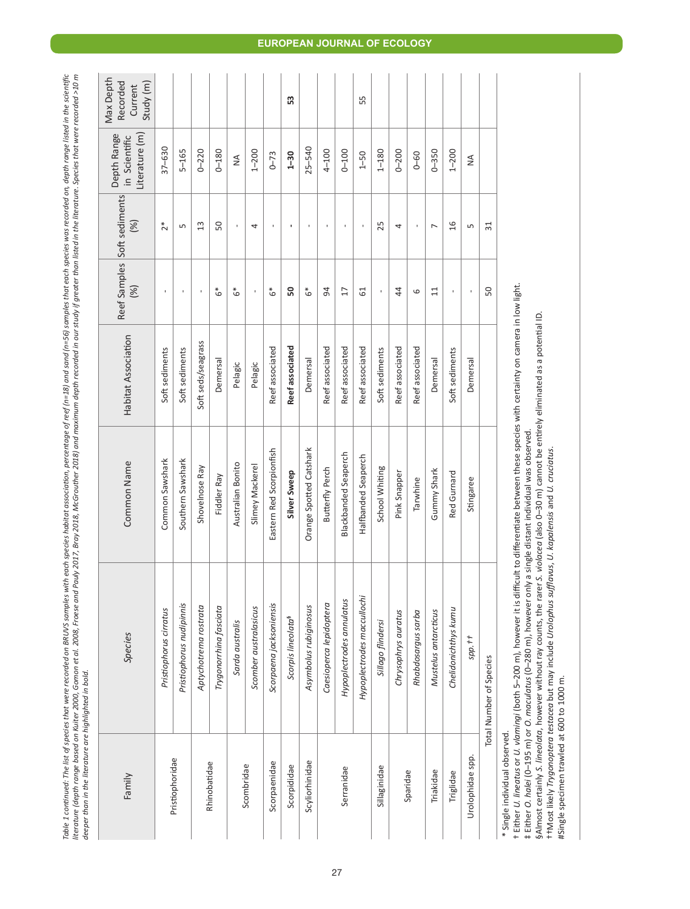Table 1 continued: The list of species that were recorded on BRUS samples with each species hot species of each proper on a samples that each species was recorded on, depth range listed in the scientific<br>literature (depth Table 1 continued: The list of species that were recorded on BRUVS samples with each species habitat association, percentage of reef (n=18) and sand (n=56) samples that each species was recorded on, depth range listed in t literature (depth range based on Kuiter 2000, Gomon et al. 2008, Froese and Poully 2017, Bray 2018, McGrouther 2018) and moximum depth recorded in our study if greater than listed in the literature. Species that were recor *deeper than in the literature are highlighted in bold.*

| Family                     | Species                        | Common Name                 | Habitat Association | (%)             | Reef Samples Soft sediments<br>(%) | Literature (m)<br>Depth Range<br>in Scientific | Max Depth<br>Recorded<br>Study (m)<br>Current |
|----------------------------|--------------------------------|-----------------------------|---------------------|-----------------|------------------------------------|------------------------------------------------|-----------------------------------------------|
|                            | Pristiophorus cirratus         | Common Sawshark             | Soft sediments      | ï               | ž*                                 | $37 - 630$                                     |                                               |
| Pristiophoridae            | Pristiophorus nudipinnis       | Southern Sawshark           | Soft sediments      |                 | 5                                  | $5 - 165$                                      |                                               |
|                            | Aptychotrema rostrata          | Shovelnose Ray              | Soft seds/seagrass  |                 | 13                                 | $0 - 220$                                      |                                               |
| Rhinobatidae               | Trygonorrhina fasciata         | Fiddler Ray                 | Demersal            | ه*              | 50                                 | $0 - 180$                                      |                                               |
|                            | Sarda australis                | Australian Bonito           | Pelagic             | ه*              | ŧ                                  | $\frac{1}{2}$                                  |                                               |
| Scombridae                 | Scomber australasicus          | Slimey Mackerel             | Pelagic             | $\mathbf{I}$    | 4                                  | $1 - 200$                                      |                                               |
| Scorpaenidae               | Scorpaena jacksoniensis        | Eastern Red Scorpionfish    | Reef associated     | €*              | $\mathbf{I}$                       | $0 - 73$                                       |                                               |
| Scorpididae                | Scorpis lineolata <sup>§</sup> | Silver Sweep                | Reef associated     | 50              | $\mathbf{I}$                       | $1 - 30$                                       | 53                                            |
| Scyliorhinidae             | Asymbolus rubiginosus          | Orange Spotted Catshark     | Demersal            | ه*              | J.                                 | $25 - 540$                                     |                                               |
|                            | Caesioperca lepidoptera        | Butterfly Perch             | Reef associated     | 94              | $\mathbf{I}$                       | 4-100                                          |                                               |
| Serranidae                 | Hypoplectrodes annulatus       | <b>Blackbanded Seaperch</b> | Reef associated     | $\overline{17}$ | $\mathbf{I}$                       | $001-0$                                        |                                               |
|                            | Hypoplectrodes maccullochi     | Halfbanded Seaperch         | Reef associated     | 5               |                                    | $1 - 50$                                       | 55                                            |
| Sillaginidae               | Sillago flindersi              | School Whiting              | Soft sediments      | ı               | 25                                 | $1 - 180$                                      |                                               |
|                            | Chrysophrys auratus            | Pink Snapper                | Reef associated     | 44              | 4                                  | $0 - 200$                                      |                                               |
| Sparidae                   | Rhabdosargus sarba             | Tarwhine                    | Reef associated     | 6               | $\mathbf{I}$                       | $0 - 60$                                       |                                               |
| Triakidae                  | Mustelus antarcticus           | Gummy Shark                 | Demersal            | $\overline{11}$ | $\overline{ }$                     | $0 - 350$                                      |                                               |
| Triglidae                  | Chelidonichthys kumu           | Red Gurnard                 | Soft sediments      | ï               | 16                                 | $1 - 200$                                      |                                               |
| Urolophidae spp.           | $spp.$ #                       | Stingaree                   | Demersal            | f,              | S                                  | ≸                                              |                                               |
|                            | Total Number of Species        |                             |                     | 50              | $\overline{31}$                    |                                                |                                               |
| kanala individual abcanyad |                                |                             |                     |                 |                                    |                                                |                                               |

# single individual observed. \* Single individual observed.

t Either U. lineatus or U. vlamingi (both 5-200 m), however it is difficult to differentiate between these species with certainty on camera in low light. † Either *U. lineatus* or *U. vlamingi* (both 5–200 m), however it is difficult to differentiate between these species with certainty on camera in low light.

i Either *O. halei* (0–195 m) or *O. maculatus* (0–280 m), however only a single distant individual was observed.<br>§Almost certainly S. *lineolata,* however without ray counts, the rarer S. *violacea* (also 0–30 m) cannot §Almost certainly *S. lineolata*, however without ray counts, the rarer *S. violacea* (also 0–30 m) cannot be entirely eliminated as a potential ID. ‡ Either *O. halei* (0–195 m) or *O. maculatus* (0–280 m), however only a single distant individual was observed.

††Most likely *Trygonoptera testacea but may include Urolophus sufflavus, U. kapalensis* and *U. cruciatus.*<br>#Single specimen trawled at 600 to 1000 m.<br>#Single specimen trawled at 600 to 1000 m. ††Most likely *Trygonoptera testacea* but may include *Urolophus sufflavus*, *U. kapalensis* and *U. cruciatus*.

#Single specimen trawled at 600 to 1000 m.

## **EUROPEAN JOURNAL OF ECOLOGY**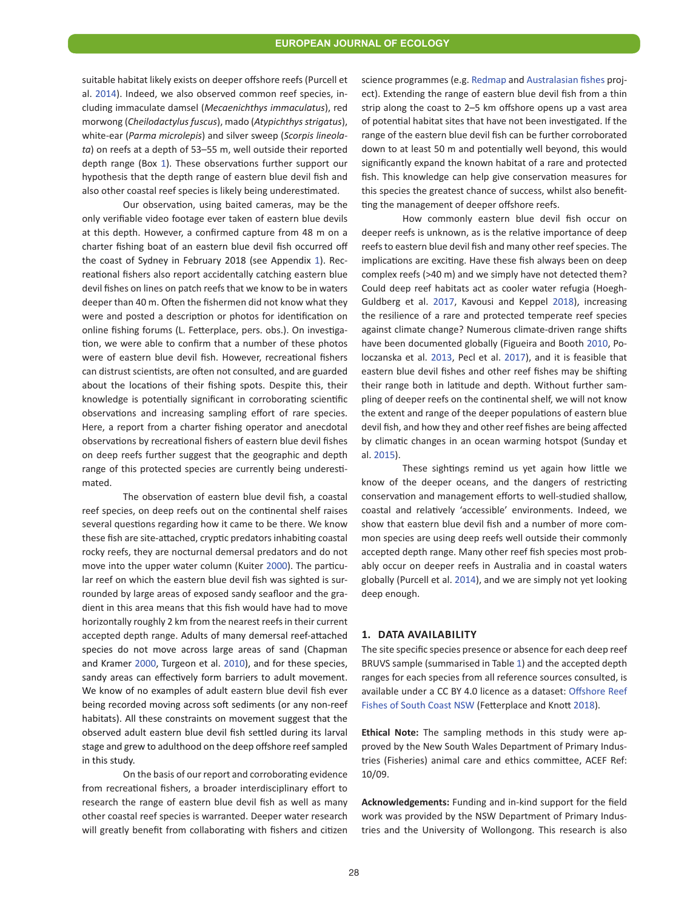suitable habitat likely exists on deeper offshore reefs (Purcell et al. 2014). Indeed, we also observed common reef species, including immaculate damsel (*Mecaenichthys immaculatus*), red morwong (*Cheilodactylus fuscus*), mado (*Atypichthys strigatus*), white-ear (*Parma microlepis*) and silver sweep (*Scorpis lineolata*) on reefs at a depth of 53–55 m, well outside their reported depth range (Box [1](#page-2-1)). These observations further support our hypothesis that the depth range of eastern blue devil fish and also other coastal reef species is likely being underestimated.

Our observation, using baited cameras, may be the only verifiable video footage ever taken of eastern blue devils at this depth. However, a confirmed capture from 48 m on a charter fishing boat of an eastern blue devil fish occurred off the coast of Sydney in February 2018 (see Appendix [1](#page-7-5)). Recreational fishers also report accidentally catching eastern blue devil fishes on lines on patch reefs that we know to be in waters deeper than 40 m. Often the fishermen did not know what they were and posted a description or photos for identification on online fishing forums (L. Fetterplace, pers. obs.). On investigation, we were able to confirm that a number of these photos were of eastern blue devil fish. However, recreational fishers can distrust scientists, are often not consulted, and are guarded about the locations of their fishing spots. Despite this, their knowledge is potentially significant in corroborating scientific observations and increasing sampling effort of rare species. Here, a report from a charter fishing operator and anecdotal observations by recreational fishers of eastern blue devil fishes on deep reefs further suggest that the geographic and depth range of this protected species are currently being underestimated.

The observation of eastern blue devil fish, a coastal reef species, on deep reefs out on the continental shelf raises several questions regarding how it came to be there. We know these fish are site-attached, cryptic predators inhabiting coastal rocky reefs, they are nocturnal demersal predators and do not move into the upper water column (Kuiter [2000](#page-7-2)). The particular reef on which the eastern blue devil fish was sighted is surrounded by large areas of exposed sandy seafloor and the gradient in this area means that this fish would have had to move horizontally roughly 2 km from the nearest reefs in their current accepted depth range. Adults of many demersal reef-attached species do not move across large areas of sand (Chapman and Kramer [2000](#page-7-6), Turgeon et al. [2010](#page-7-7)), and for these species, sandy areas can effectively form barriers to adult movement. We know of no examples of adult eastern blue devil fish ever being recorded moving across soft sediments (or any non-reef habitats). All these constraints on movement suggest that the observed adult eastern blue devil fish settled during its larval stage and grew to adulthood on the deep offshore reef sampled in this study.

On the basis of our report and corroborating evidence from recreational fishers, a broader interdisciplinary effort to research the range of eastern blue devil fish as well as many other coastal reef species is warranted. Deeper water research will greatly benefit from collaborating with fishers and citizen science programmes (e.g. [Redmap](http://www.redmap.org.au/) and [Australasian fishes proj](https://www.inaturalist.org/projects/australasian-fishes)[ect](https://www.inaturalist.org/projects/australasian-fishes)). Extending the range of eastern blue devil fish from a thin strip along the coast to 2–5 km offshore opens up a vast area of potential habitat sites that have not been investigated. If the range of the eastern blue devil fish can be further corroborated down to at least 50 m and potentially well beyond, this would significantly expand the known habitat of a rare and protected fish. This knowledge can help give conservation measures for this species the greatest chance of success, whilst also benefitting the management of deeper offshore reefs.

How commonly eastern blue devil fish occur on deeper reefs is unknown, as is the relative importance of deep reefs to eastern blue devil fish and many other reef species. The implications are exciting. Have these fish always been on deep complex reefs (>40 m) and we simply have not detected them? Could deep reef habitats act as cooler water refugia (Hoegh-Guldberg et al. [2017](#page-7-8), Kavousi and Keppel [2018](#page-7-2)), increasing the resilience of a rare and protected temperate reef species against climate change? Numerous climate-driven range shifts have been documented globally (Figueira and Booth [2010](#page-7-9), Poloczanska et al. 2013, Pecl et al. 2017), and it is feasible that eastern blue devil fishes and other reef fishes may be shifting their range both in latitude and depth. Without further sampling of deeper reefs on the continental shelf, we will not know the extent and range of the deeper populations of eastern blue devil fish, and how they and other reef fishes are being affected by climatic changes in an ocean warming hotspot (Sunday et al. [2015](#page-7-4)).

These sightings remind us yet again how little we know of the deeper oceans, and the dangers of restricting conservation and management efforts to well-studied shallow, coastal and relatively 'accessible' environments. Indeed, we show that eastern blue devil fish and a number of more common species are using deep reefs well outside their commonly accepted depth range. Many other reef fish species most probably occur on deeper reefs in Australia and in coastal waters globally (Purcell et al. 2014), and we are simply not yet looking deep enough.

#### **1. DATA AVAILABILITY**

The site specific species presence or absence for each deep reef BRUVS sample (summarised in Table [1\)](#page-3-0) and the accepted depth ranges for each species from all reference sources consulted, is available under a CC BY 4.0 licence as a dataset: [Offshore Reef](https://doi.org/10.6084/m9.figshare.5947012.v1) [Fishes of South Coast NSW](https://doi.org/10.6084/m9.figshare.5947012.v1) (Fetterplace and Knott 2018).

**Ethical Note:** The sampling methods in this study were approved by the New South Wales Department of Primary Industries (Fisheries) animal care and ethics committee, ACEF Ref: 10/09.

**Acknowledgements:** Funding and in-kind support for the field work was provided by the NSW Department of Primary Industries and the University of Wollongong. This research is also